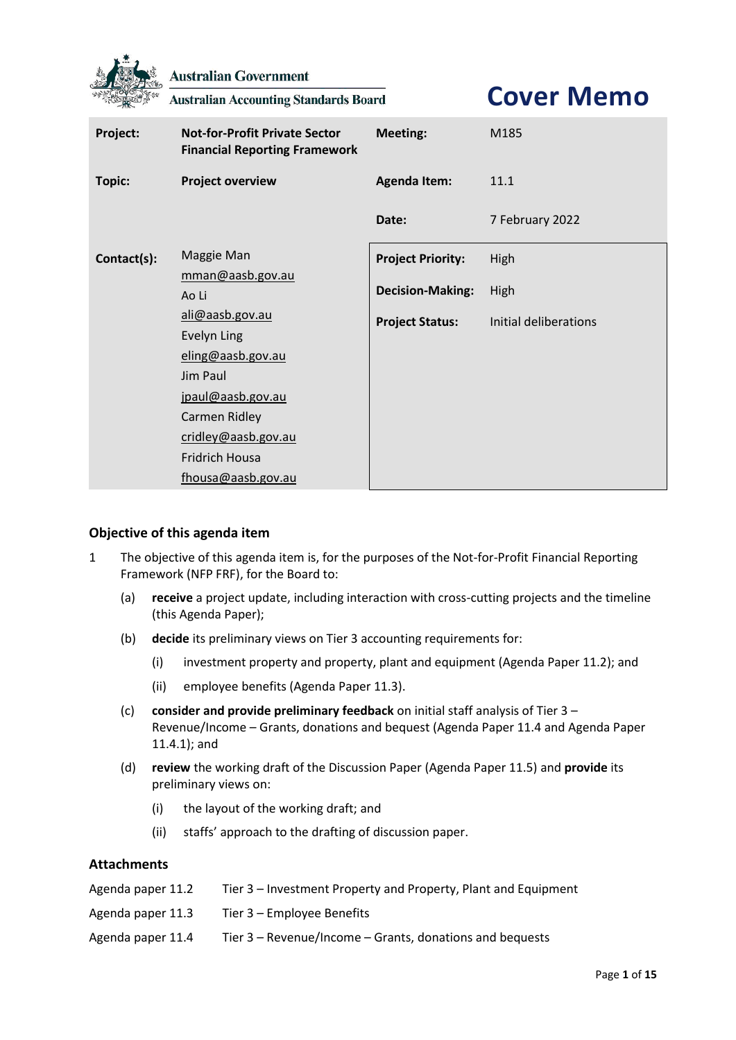

**Australian Government** 

**Australian Accounting Standards Board** 

# **Cover Memo**

| Project:    | <b>Not-for-Profit Private Sector</b><br><b>Financial Reporting Framework</b> | Meeting:                 | M185                  |
|-------------|------------------------------------------------------------------------------|--------------------------|-----------------------|
| Topic:      | <b>Project overview</b>                                                      | <b>Agenda Item:</b>      | 11.1                  |
|             |                                                                              | Date:                    | 7 February 2022       |
| Contact(s): | Maggie Man                                                                   | <b>Project Priority:</b> | High                  |
|             | mman@aasb.gov.au<br>Ao Li                                                    | <b>Decision-Making:</b>  | High                  |
|             | ali@aasb.gov.au<br><b>Evelyn Ling</b>                                        | <b>Project Status:</b>   | Initial deliberations |
|             | eling@aasb.gov.au                                                            |                          |                       |
|             | Jim Paul                                                                     |                          |                       |
|             | jpaul@aasb.gov.au                                                            |                          |                       |
|             | Carmen Ridley                                                                |                          |                       |
|             | cridley@aasb.gov.au                                                          |                          |                       |
|             | Fridrich Housa                                                               |                          |                       |
|             | fhousa@aasb.gov.au                                                           |                          |                       |

# **Objective of this agenda item**

- 1 The objective of this agenda item is, for the purposes of the Not-for-Profit Financial Reporting Framework (NFP FRF), for the Board to:
	- (a) **receive** a project update, including interaction with cross-cutting projects and the timeline (this Agenda Paper);
	- (b) **decide** its preliminary views on Tier 3 accounting requirements for:
		- (i) investment property and property, plant and equipment (Agenda Paper 11.2); and
		- (ii) employee benefits (Agenda Paper 11.3).
	- (c) **consider and provide preliminary feedback** on initial staff analysis of Tier 3 Revenue/Income – Grants, donations and bequest (Agenda Paper 11.4 and Agenda Paper 11.4.1); and
	- (d) **review** the working draft of the Discussion Paper (Agenda Paper 11.5) and **provide** its preliminary views on:
		- (i) the layout of the working draft; and
		- (ii) staffs' approach to the drafting of discussion paper.

# **Attachments**

| Agenda paper 11.2 | Tier 3 – Investment Property and Property, Plant and Equipment |
|-------------------|----------------------------------------------------------------|
| Agenda paper 11.3 | Tier 3 – Employee Benefits                                     |
| Agenda paper 11.4 | Tier 3 – Revenue/Income – Grants, donations and bequests       |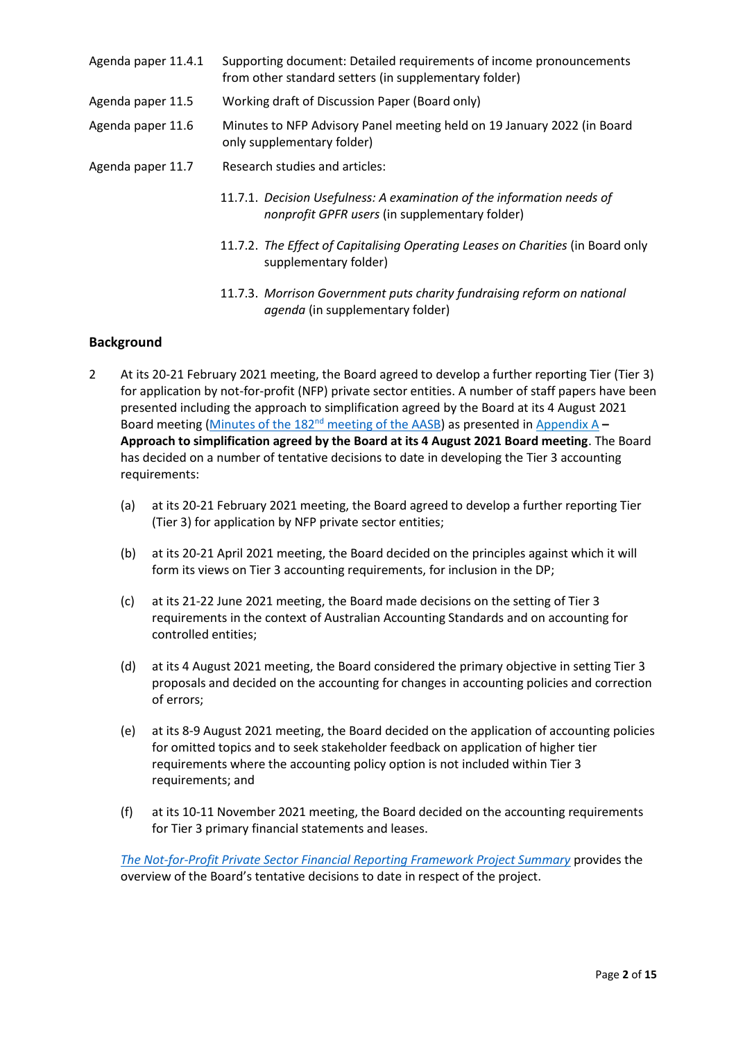- Agenda paper 11.4.1 Supporting document: Detailed requirements of income pronouncements from other standard setters (in supplementary folder)
- Agenda paper 11.5 Working draft of Discussion Paper (Board only)
- Agenda paper 11.6 Minutes to NFP Advisory Panel meeting held on 19 January 2022 (in Board only supplementary folder)
- Agenda paper 11.7 Research studies and articles:
	- 11.7.1. *Decision Usefulness: A examination of the information needs of nonprofit GPFR users* (in supplementary folder)
	- 11.7.2. *The Effect of Capitalising Operating Leases on Charities* (in Board only supplementary folder)
	- 11.7.3. *Morrison Government puts charity fundraising reform on national agenda* (in supplementary folder)

#### **Background**

- 2 At its 20-21 February 2021 meeting, the Board agreed to develop a further reporting Tier (Tier 3) for application by not-for-profit (NFP) private sector entities. A number of staff papers have been presented including the approach to simplification agreed by the Board at its 4 August 2021 Board meeting (Minutes of the 182nd [meeting of the AASB\)](https://aasb.gov.au/media/fsblvmin/aasbapprovedminutesm182_4aug21.pdf) as presented in [Appendix A](#page-14-0) **– [Approach to simplification agreed by the Board at its 4 August 2021 Board meeting](#page-14-0)**. The Board has decided on a number of tentative decisions to date in developing the Tier 3 accounting requirements:
	- (a) at its 20-21 February 2021 meeting, the Board agreed to develop a further reporting Tier (Tier 3) for application by NFP private sector entities;
	- (b) at its 20-21 April 2021 meeting, the Board decided on the principles against which it will form its views on Tier 3 accounting requirements, for inclusion in the DP;
	- (c) at its 21-22 June 2021 meeting, the Board made decisions on the setting of Tier 3 requirements in the context of Australian Accounting Standards and on accounting for controlled entities;
	- (d) at its 4 August 2021 meeting, the Board considered the primary objective in setting Tier 3 proposals and decided on the accounting for changes in accounting policies and correction of errors;
	- (e) at its 8-9 August 2021 meeting, the Board decided on the application of accounting policies for omitted topics and to seek stakeholder feedback on application of higher tier requirements where the accounting policy option is not included within Tier 3 requirements; and
	- (f) at its 10-11 November 2021 meeting, the Board decided on the accounting requirements for Tier 3 primary financial statements and leases.

*[The Not-for-Profit Private Sector Financial Reporting Framework Project Summary](https://aasb.gov.au/media/wrokpc24/ps_afr-nfp_11-16.pdf)* provides the overview of the Board's tentative decisions to date in respect of the project.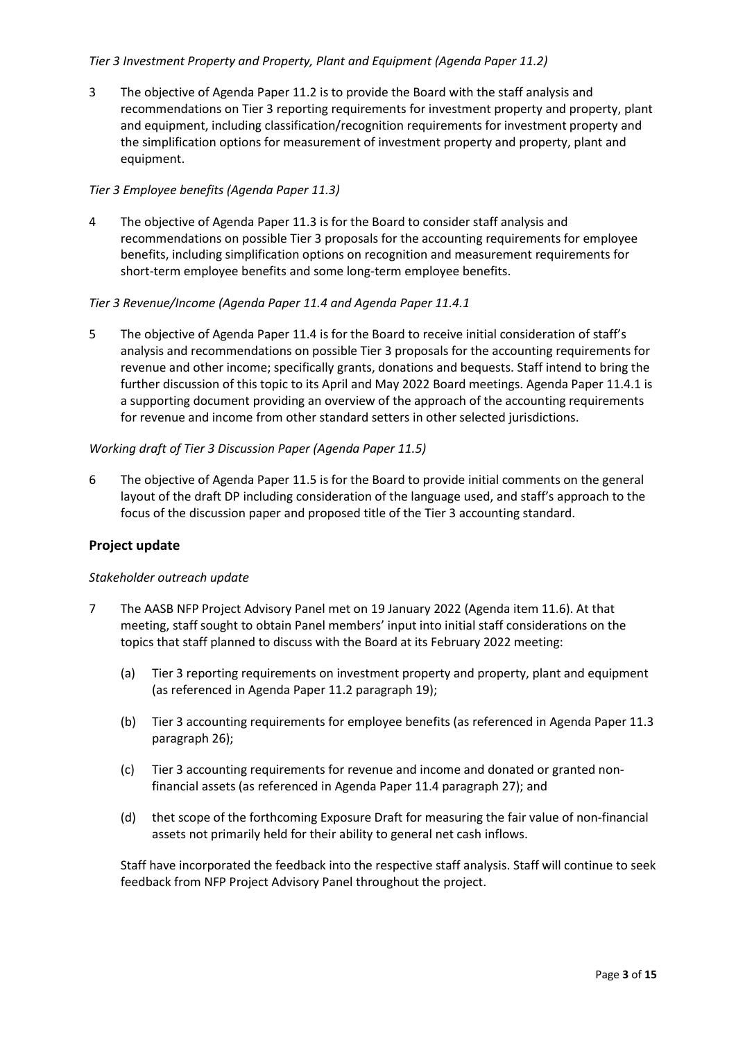## *Tier 3 Investment Property and Property, Plant and Equipment (Agenda Paper 11.2)*

3 The objective of Agenda Paper 11.2 is to provide the Board with the staff analysis and recommendations on Tier 3 reporting requirements for investment property and property, plant and equipment, including classification/recognition requirements for investment property and the simplification options for measurement of investment property and property, plant and equipment.

# *Tier 3 Employee benefits (Agenda Paper 11.3)*

4 The objective of Agenda Paper 11.3 is for the Board to consider staff analysis and recommendations on possible Tier 3 proposals for the accounting requirements for employee benefits, including simplification options on recognition and measurement requirements for short-term employee benefits and some long-term employee benefits.

#### *Tier 3 Revenue/Income (Agenda Paper 11.4 and Agenda Paper 11.4.1*

5 The objective of Agenda Paper 11.4 is for the Board to receive initial consideration of staff's analysis and recommendations on possible Tier 3 proposals for the accounting requirements for revenue and other income; specifically grants, donations and bequests. Staff intend to bring the further discussion of this topic to its April and May 2022 Board meetings. Agenda Paper 11.4.1 is a supporting document providing an overview of the approach of the accounting requirements for revenue and income from other standard setters in other selected jurisdictions.

# *Working draft of Tier 3 Discussion Paper (Agenda Paper 11.5)*

6 The objective of Agenda Paper 11.5 is for the Board to provide initial comments on the general layout of the draft DP including consideration of the language used, and staff's approach to the focus of the discussion paper and proposed title of the Tier 3 accounting standard.

# **Project update**

#### *Stakeholder outreach update*

- 7 The AASB NFP Project Advisory Panel met on 19 January 2022 (Agenda item 11.6). At that meeting, staff sought to obtain Panel members' input into initial staff considerations on the topics that staff planned to discuss with the Board at its February 2022 meeting:
	- (a) Tier 3 reporting requirements on investment property and property, plant and equipment (as referenced in Agenda Paper 11.2 paragraph 19);
	- (b) Tier 3 accounting requirements for employee benefits (as referenced in Agenda Paper 11.3 paragraph 26);
	- (c) Tier 3 accounting requirements for revenue and income and donated or granted nonfinancial assets (as referenced in Agenda Paper 11.4 paragraph 27); and
	- (d) thet scope of the forthcoming Exposure Draft for measuring the fair value of non-financial assets not primarily held for their ability to general net cash inflows.

Staff have incorporated the feedback into the respective staff analysis. Staff will continue to seek feedback from NFP Project Advisory Panel throughout the project.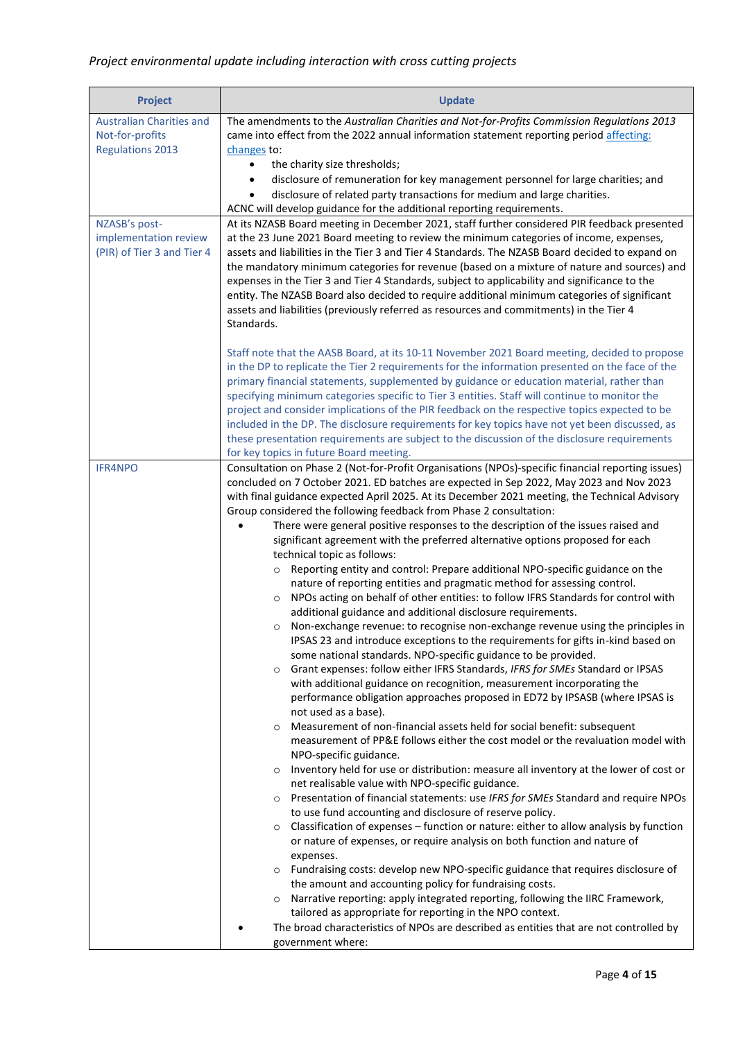# *Project environmental update including interaction with cross cutting projects*

| <b>Project</b>                                                                | <b>Update</b>                                                                                                                                                                                                                                                                                                                                                                                                                                                                                                                                                                                                                                                                                                                                                                                                                                                                                                                                                                                                                                                                                                                                                                                                                                                                                                                                                                                                                                                                                                                                                                                                                                                                                                                                                                                                                                                                                                                                                                                                                                                                                                                                                                                                                                                                                                                                                                                                                                                                                                                                          |  |
|-------------------------------------------------------------------------------|--------------------------------------------------------------------------------------------------------------------------------------------------------------------------------------------------------------------------------------------------------------------------------------------------------------------------------------------------------------------------------------------------------------------------------------------------------------------------------------------------------------------------------------------------------------------------------------------------------------------------------------------------------------------------------------------------------------------------------------------------------------------------------------------------------------------------------------------------------------------------------------------------------------------------------------------------------------------------------------------------------------------------------------------------------------------------------------------------------------------------------------------------------------------------------------------------------------------------------------------------------------------------------------------------------------------------------------------------------------------------------------------------------------------------------------------------------------------------------------------------------------------------------------------------------------------------------------------------------------------------------------------------------------------------------------------------------------------------------------------------------------------------------------------------------------------------------------------------------------------------------------------------------------------------------------------------------------------------------------------------------------------------------------------------------------------------------------------------------------------------------------------------------------------------------------------------------------------------------------------------------------------------------------------------------------------------------------------------------------------------------------------------------------------------------------------------------------------------------------------------------------------------------------------------------|--|
| <b>Australian Charities and</b><br>Not-for-profits<br><b>Regulations 2013</b> | The amendments to the Australian Charities and Not-for-Profits Commission Regulations 2013<br>came into effect from the 2022 annual information statement reporting period affecting:<br>changes to:<br>the charity size thresholds;<br>$\bullet$<br>disclosure of remuneration for key management personnel for large charities; and<br>٠<br>disclosure of related party transactions for medium and large charities.<br>$\bullet$<br>ACNC will develop guidance for the additional reporting requirements.                                                                                                                                                                                                                                                                                                                                                                                                                                                                                                                                                                                                                                                                                                                                                                                                                                                                                                                                                                                                                                                                                                                                                                                                                                                                                                                                                                                                                                                                                                                                                                                                                                                                                                                                                                                                                                                                                                                                                                                                                                           |  |
| NZASB's post-<br>implementation review<br>(PIR) of Tier 3 and Tier 4          | At its NZASB Board meeting in December 2021, staff further considered PIR feedback presented<br>at the 23 June 2021 Board meeting to review the minimum categories of income, expenses,<br>assets and liabilities in the Tier 3 and Tier 4 Standards. The NZASB Board decided to expand on<br>the mandatory minimum categories for revenue (based on a mixture of nature and sources) and<br>expenses in the Tier 3 and Tier 4 Standards, subject to applicability and significance to the<br>entity. The NZASB Board also decided to require additional minimum categories of significant<br>assets and liabilities (previously referred as resources and commitments) in the Tier 4<br>Standards.                                                                                                                                                                                                                                                                                                                                                                                                                                                                                                                                                                                                                                                                                                                                                                                                                                                                                                                                                                                                                                                                                                                                                                                                                                                                                                                                                                                                                                                                                                                                                                                                                                                                                                                                                                                                                                                    |  |
|                                                                               | Staff note that the AASB Board, at its 10-11 November 2021 Board meeting, decided to propose<br>in the DP to replicate the Tier 2 requirements for the information presented on the face of the<br>primary financial statements, supplemented by guidance or education material, rather than<br>specifying minimum categories specific to Tier 3 entities. Staff will continue to monitor the<br>project and consider implications of the PIR feedback on the respective topics expected to be<br>included in the DP. The disclosure requirements for key topics have not yet been discussed, as<br>these presentation requirements are subject to the discussion of the disclosure requirements<br>for key topics in future Board meeting.                                                                                                                                                                                                                                                                                                                                                                                                                                                                                                                                                                                                                                                                                                                                                                                                                                                                                                                                                                                                                                                                                                                                                                                                                                                                                                                                                                                                                                                                                                                                                                                                                                                                                                                                                                                                            |  |
| <b>IFR4NPO</b>                                                                | Consultation on Phase 2 (Not-for-Profit Organisations (NPOs)-specific financial reporting issues)<br>concluded on 7 October 2021. ED batches are expected in Sep 2022, May 2023 and Nov 2023<br>with final guidance expected April 2025. At its December 2021 meeting, the Technical Advisory<br>Group considered the following feedback from Phase 2 consultation:<br>There were general positive responses to the description of the issues raised and<br>significant agreement with the preferred alternative options proposed for each<br>technical topic as follows:<br>Reporting entity and control: Prepare additional NPO-specific guidance on the<br>nature of reporting entities and pragmatic method for assessing control.<br>NPOs acting on behalf of other entities: to follow IFRS Standards for control with<br>$\circ$<br>additional guidance and additional disclosure requirements.<br>Non-exchange revenue: to recognise non-exchange revenue using the principles in<br>IPSAS 23 and introduce exceptions to the requirements for gifts in-kind based on<br>some national standards. NPO-specific guidance to be provided.<br>Grant expenses: follow either IFRS Standards, IFRS for SMEs Standard or IPSAS<br>$\circ$<br>with additional guidance on recognition, measurement incorporating the<br>performance obligation approaches proposed in ED72 by IPSASB (where IPSAS is<br>not used as a base).<br>Measurement of non-financial assets held for social benefit: subsequent<br>$\circ$<br>measurement of PP&E follows either the cost model or the revaluation model with<br>NPO-specific guidance.<br>Inventory held for use or distribution: measure all inventory at the lower of cost or<br>$\circ$<br>net realisable value with NPO-specific guidance.<br>Presentation of financial statements: use IFRS for SMEs Standard and require NPOs<br>to use fund accounting and disclosure of reserve policy.<br>Classification of expenses - function or nature: either to allow analysis by function<br>$\circ$<br>or nature of expenses, or require analysis on both function and nature of<br>expenses.<br>o Fundraising costs: develop new NPO-specific guidance that requires disclosure of<br>the amount and accounting policy for fundraising costs.<br>Narrative reporting: apply integrated reporting, following the IIRC Framework,<br>tailored as appropriate for reporting in the NPO context.<br>The broad characteristics of NPOs are described as entities that are not controlled by<br>government where: |  |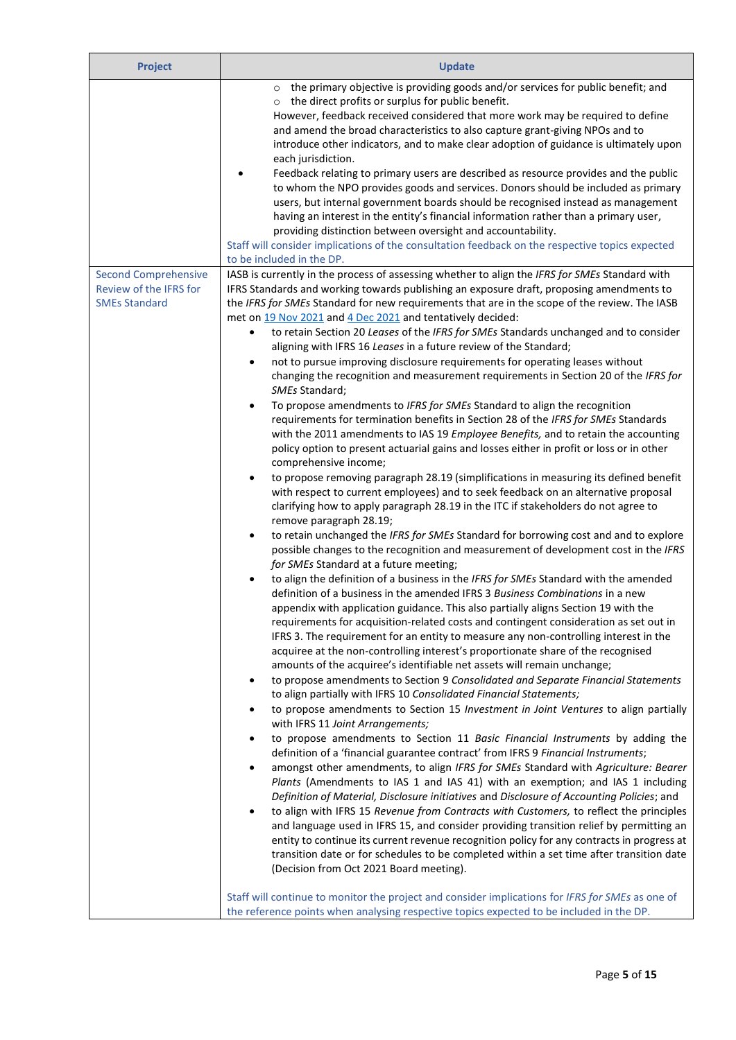| o the primary objective is providing goods and/or services for public benefit; and<br>o the direct profits or surplus for public benefit.<br>However, feedback received considered that more work may be required to define<br>and amend the broad characteristics to also capture grant-giving NPOs and to<br>introduce other indicators, and to make clear adoption of guidance is ultimately upon<br>each jurisdiction.<br>Feedback relating to primary users are described as resource provides and the public<br>to whom the NPO provides goods and services. Donors should be included as primary<br>users, but internal government boards should be recognised instead as management<br>having an interest in the entity's financial information rather than a primary user,<br>providing distinction between oversight and accountability.<br>Staff will consider implications of the consultation feedback on the respective topics expected<br>to be included in the DP.<br><b>Second Comprehensive</b><br>IASB is currently in the process of assessing whether to align the IFRS for SMEs Standard with<br>Review of the IFRS for<br>IFRS Standards and working towards publishing an exposure draft, proposing amendments to<br><b>SMEs Standard</b><br>the IFRS for SMEs Standard for new requirements that are in the scope of the review. The IASB<br>met on 19 Nov 2021 and 4 Dec 2021 and tentatively decided:<br>to retain Section 20 Leases of the IFRS for SMEs Standards unchanged and to consider<br>$\bullet$<br>aligning with IFRS 16 Leases in a future review of the Standard;<br>not to pursue improving disclosure requirements for operating leases without<br>$\bullet$<br>changing the recognition and measurement requirements in Section 20 of the IFRS for<br>SMEs Standard;<br>To propose amendments to IFRS for SMEs Standard to align the recognition<br>$\bullet$<br>requirements for termination benefits in Section 28 of the IFRS for SMEs Standards<br>with the 2011 amendments to IAS 19 Employee Benefits, and to retain the accounting<br>policy option to present actuarial gains and losses either in profit or loss or in other<br>comprehensive income;<br>to propose removing paragraph 28.19 (simplifications in measuring its defined benefit<br>$\bullet$<br>with respect to current employees) and to seek feedback on an alternative proposal<br>clarifying how to apply paragraph 28.19 in the ITC if stakeholders do not agree to<br>remove paragraph 28.19;<br>to retain unchanged the IFRS for SMEs Standard for borrowing cost and and to explore<br>٠<br>possible changes to the recognition and measurement of development cost in the IFRS<br>for SMEs Standard at a future meeting;<br>to align the definition of a business in the IFRS for SMEs Standard with the amended<br>definition of a business in the amended IFRS 3 Business Combinations in a new<br>appendix with application guidance. This also partially aligns Section 19 with the<br>requirements for acquisition-related costs and contingent consideration as set out in<br>IFRS 3. The requirement for an entity to measure any non-controlling interest in the<br>acquiree at the non-controlling interest's proportionate share of the recognised<br>amounts of the acquiree's identifiable net assets will remain unchange;<br>to propose amendments to Section 9 Consolidated and Separate Financial Statements<br>٠<br>to align partially with IFRS 10 Consolidated Financial Statements;<br>to propose amendments to Section 15 Investment in Joint Ventures to align partially<br>$\bullet$<br>with IFRS 11 Joint Arrangements; |
|-----------------------------------------------------------------------------------------------------------------------------------------------------------------------------------------------------------------------------------------------------------------------------------------------------------------------------------------------------------------------------------------------------------------------------------------------------------------------------------------------------------------------------------------------------------------------------------------------------------------------------------------------------------------------------------------------------------------------------------------------------------------------------------------------------------------------------------------------------------------------------------------------------------------------------------------------------------------------------------------------------------------------------------------------------------------------------------------------------------------------------------------------------------------------------------------------------------------------------------------------------------------------------------------------------------------------------------------------------------------------------------------------------------------------------------------------------------------------------------------------------------------------------------------------------------------------------------------------------------------------------------------------------------------------------------------------------------------------------------------------------------------------------------------------------------------------------------------------------------------------------------------------------------------------------------------------------------------------------------------------------------------------------------------------------------------------------------------------------------------------------------------------------------------------------------------------------------------------------------------------------------------------------------------------------------------------------------------------------------------------------------------------------------------------------------------------------------------------------------------------------------------------------------------------------------------------------------------------------------------------------------------------------------------------------------------------------------------------------------------------------------------------------------------------------------------------------------------------------------------------------------------------------------------------------------------------------------------------------------------------------------------------------------------------------------------------------------------------------------------------------------------------------------------------------------------------------------------------------------------------------------------------------------------------------------------------------------------------------------------------------------------------------------------------------------------------------------------------------------------------------------------------------------------------------------------------------------------------------------------------------------------------------------------------------|
|                                                                                                                                                                                                                                                                                                                                                                                                                                                                                                                                                                                                                                                                                                                                                                                                                                                                                                                                                                                                                                                                                                                                                                                                                                                                                                                                                                                                                                                                                                                                                                                                                                                                                                                                                                                                                                                                                                                                                                                                                                                                                                                                                                                                                                                                                                                                                                                                                                                                                                                                                                                                                                                                                                                                                                                                                                                                                                                                                                                                                                                                                                                                                                                                                                                                                                                                                                                                                                                                                                                                                                                                                                                                             |
| to propose amendments to Section 11 Basic Financial Instruments by adding the<br>$\bullet$<br>definition of a 'financial guarantee contract' from IFRS 9 Financial Instruments;<br>amongst other amendments, to align IFRS for SMEs Standard with Agriculture: Bearer<br>$\bullet$<br>Plants (Amendments to IAS 1 and IAS 41) with an exemption; and IAS 1 including<br>Definition of Material, Disclosure initiatives and Disclosure of Accounting Policies; and<br>to align with IFRS 15 Revenue from Contracts with Customers, to reflect the principles<br>$\bullet$<br>and language used in IFRS 15, and consider providing transition relief by permitting an<br>entity to continue its current revenue recognition policy for any contracts in progress at<br>transition date or for schedules to be completed within a set time after transition date<br>(Decision from Oct 2021 Board meeting).<br>Staff will continue to monitor the project and consider implications for IFRS for SMEs as one of                                                                                                                                                                                                                                                                                                                                                                                                                                                                                                                                                                                                                                                                                                                                                                                                                                                                                                                                                                                                                                                                                                                                                                                                                                                                                                                                                                                                                                                                                                                                                                                                                                                                                                                                                                                                                                                                                                                                                                                                                                                                                                                                                                                                                                                                                                                                                                                                                                                                                                                                                                                                                                                                |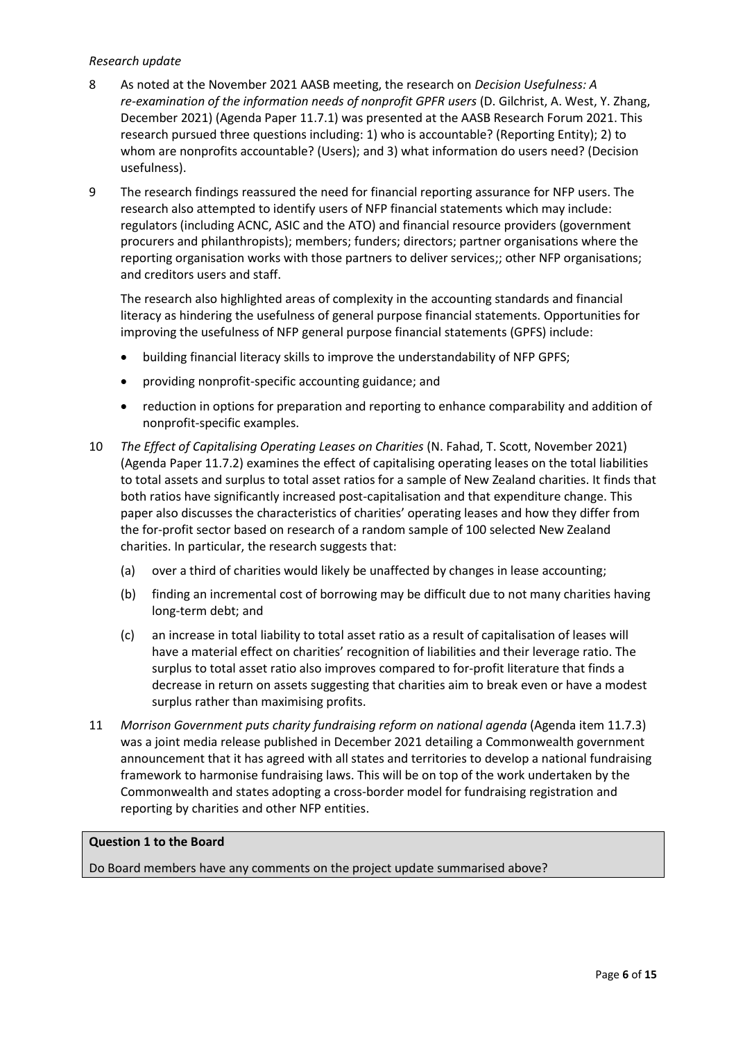## *Research update*

- 8 As noted at the November 2021 AASB meeting, the research on *Decision Usefulness: A re-examination of the information needs of nonprofit GPFR users* (D. Gilchrist, A. West, Y. Zhang, December 2021) (Agenda Paper 11.7.1) was presented at the AASB Research Forum 2021. This research pursued three questions including: 1) who is accountable? (Reporting Entity); 2) to whom are nonprofits accountable? (Users); and 3) what information do users need? (Decision usefulness).
- 9 The research findings reassured the need for financial reporting assurance for NFP users. The research also attempted to identify users of NFP financial statements which may include: regulators (including ACNC, ASIC and the ATO) and financial resource providers (government procurers and philanthropists); members; funders; directors; partner organisations where the reporting organisation works with those partners to deliver services;; other NFP organisations; and creditors users and staff.

The research also highlighted areas of complexity in the accounting standards and financial literacy as hindering the usefulness of general purpose financial statements. Opportunities for improving the usefulness of NFP general purpose financial statements (GPFS) include:

- building financial literacy skills to improve the understandability of NFP GPFS;
- providing nonprofit-specific accounting guidance; and
- reduction in options for preparation and reporting to enhance comparability and addition of nonprofit-specific examples.
- 10 *The Effect of Capitalising Operating Leases on Charities* (N. Fahad, T. Scott, November 2021) (Agenda Paper 11.7.2) examines the effect of capitalising operating leases on the total liabilities to total assets and surplus to total asset ratios for a sample of New Zealand charities. It finds that both ratios have significantly increased post-capitalisation and that expenditure change. This paper also discusses the characteristics of charities' operating leases and how they differ from the for-profit sector based on research of a random sample of 100 selected New Zealand charities. In particular, the research suggests that:
	- (a) over a third of charities would likely be unaffected by changes in lease accounting;
	- (b) finding an incremental cost of borrowing may be difficult due to not many charities having long-term debt; and
	- (c) an increase in total liability to total asset ratio as a result of capitalisation of leases will have a material effect on charities' recognition of liabilities and their leverage ratio. The surplus to total asset ratio also improves compared to for-profit literature that finds a decrease in return on assets suggesting that charities aim to break even or have a modest surplus rather than maximising profits.
- <span id="page-5-0"></span>11 *Morrison Government puts charity fundraising reform on national agenda* (Agenda item 11.7.3) was a joint media release published in December 2021 detailing a Commonwealth government announcement that it has agreed with all states and territories to develop a national fundraising framework to harmonise fundraising laws. This will be on top of the work undertaken by the Commonwealth and states adopting a cross-border model for fundraising registration and reporting by charities and other NFP entities.

#### **Question 1 to the Board**

Do Board members have any comments on the project update summarised above?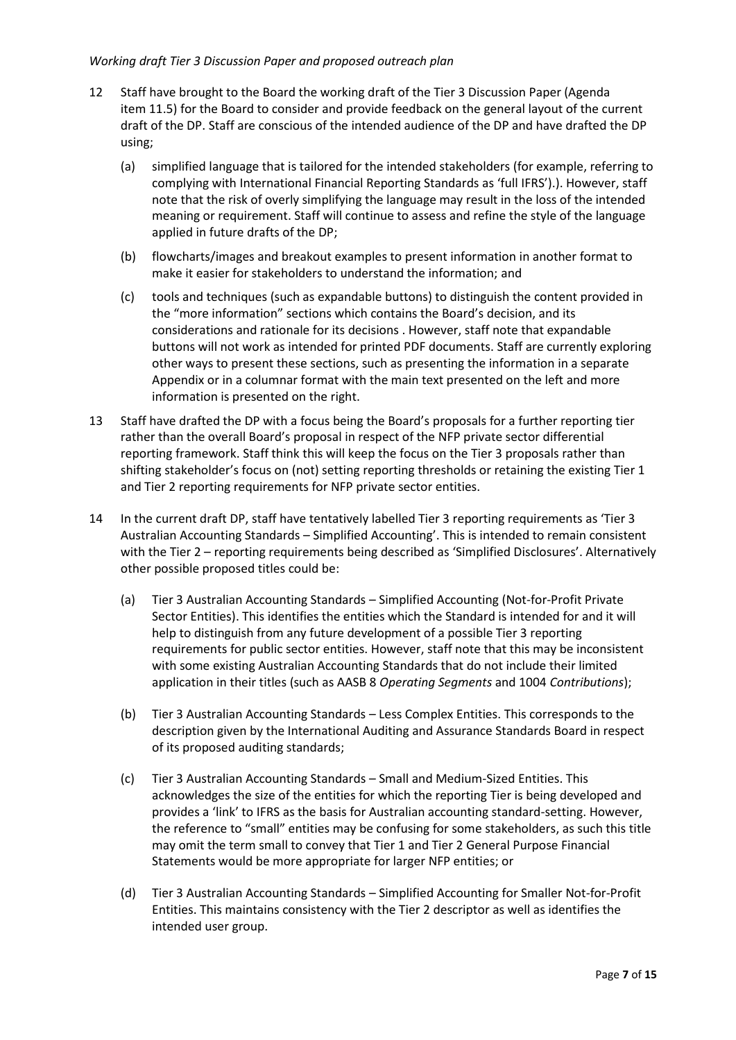## *Working draft Tier 3 Discussion Paper and proposed outreach plan*

- 12 Staff have brought to the Board the working draft of the Tier 3 Discussion Paper (Agenda item 11.5) for the Board to consider and provide feedback on the general layout of the current draft of the DP. Staff are conscious of the intended audience of the DP and have drafted the DP using;
	- (a) simplified language that is tailored for the intended stakeholders (for example, referring to complying with International Financial Reporting Standards as 'full IFRS').). However, staff note that the risk of overly simplifying the language may result in the loss of the intended meaning or requirement. Staff will continue to assess and refine the style of the language applied in future drafts of the DP;
	- (b) flowcharts/images and breakout examples to present information in another format to make it easier for stakeholders to understand the information; and
	- (c) tools and techniques (such as expandable buttons) to distinguish the content provided in the "more information" sections which contains the Board's decision, and its considerations and rationale for its decisions . However, staff note that expandable buttons will not work as intended for printed PDF documents. Staff are currently exploring other ways to present these sections, such as presenting the information in a separate Appendix or in a columnar format with the main text presented on the left and more information is presented on the right.
- 13 Staff have drafted the DP with a focus being the Board's proposals for a further reporting tier rather than the overall Board's proposal in respect of the NFP private sector differential reporting framework. Staff think this will keep the focus on the Tier 3 proposals rather than shifting stakeholder's focus on (not) setting reporting thresholds or retaining the existing Tier 1 and Tier 2 reporting requirements for NFP private sector entities.
- <span id="page-6-1"></span><span id="page-6-0"></span>14 In the current draft DP, staff have tentatively labelled Tier 3 reporting requirements as 'Tier 3 Australian Accounting Standards – Simplified Accounting'. This is intended to remain consistent with the Tier 2 – reporting requirements being described as 'Simplified Disclosures'. Alternatively other possible proposed titles could be:
	- (a) Tier 3 Australian Accounting Standards Simplified Accounting (Not-for-Profit Private Sector Entities). This identifies the entities which the Standard is intended for and it will help to distinguish from any future development of a possible Tier 3 reporting requirements for public sector entities. However, staff note that this may be inconsistent with some existing Australian Accounting Standards that do not include their limited application in their titles (such as AASB 8 *Operating Segments* and 1004 *Contributions*);
	- (b) Tier 3 Australian Accounting Standards Less Complex Entities. This corresponds to the description given by the International Auditing and Assurance Standards Board in respect of its proposed auditing standards;
	- (c) Tier 3 Australian Accounting Standards Small and Medium-Sized Entities. This acknowledges the size of the entities for which the reporting Tier is being developed and provides a 'link' to IFRS as the basis for Australian accounting standard-setting. However, the reference to "small" entities may be confusing for some stakeholders, as such this title may omit the term small to convey that Tier 1 and Tier 2 General Purpose Financial Statements would be more appropriate for larger NFP entities; or
	- (d) Tier 3 Australian Accounting Standards Simplified Accounting for Smaller Not-for-Profit Entities. This maintains consistency with the Tier 2 descriptor as well as identifies the intended user group.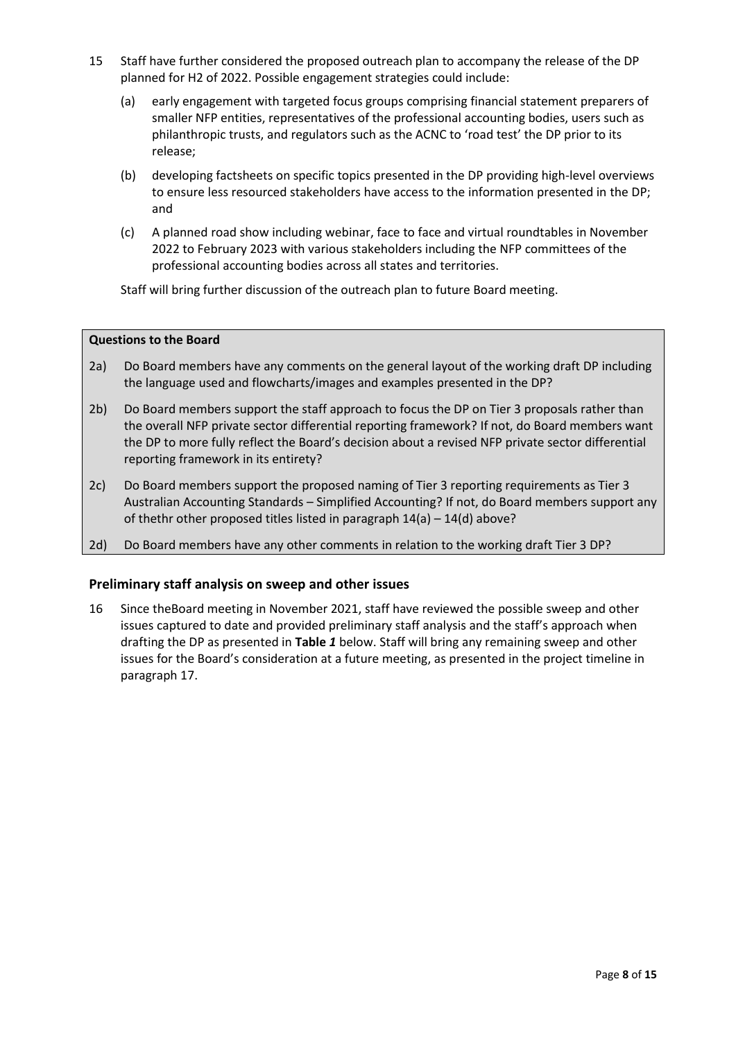- 15 Staff have further considered the proposed outreach plan to accompany the release of the DP planned for H2 of 2022. Possible engagement strategies could include:
	- (a) early engagement with targeted focus groups comprising financial statement preparers of smaller NFP entities, representatives of the professional accounting bodies, users such as philanthropic trusts, and regulators such as the ACNC to 'road test' the DP prior to its release;
	- (b) developing factsheets on specific topics presented in the DP providing high-level overviews to ensure less resourced stakeholders have access to the information presented in the DP; and
	- (c) A planned road show including webinar, face to face and virtual roundtables in November 2022 to February 2023 with various stakeholders including the NFP committees of the professional accounting bodies across all states and territories.

Staff will bring further discussion of the outreach plan to future Board meeting.

#### **Questions to the Board**

- 2a) Do Board members have any comments on the general layout of the working draft DP including the language used and flowcharts/images and examples presented in the DP?
- 2b) Do Board members support the staff approach to focus the DP on Tier 3 proposals rather than the overall NFP private sector differential reporting framework? If not, do Board members want the DP to more fully reflect the Board's decision about a revised NFP private sector differential reporting framework in its entirety?
- 2c) Do Board members support the proposed naming of Tier 3 reporting requirements as Tier 3 Australian Accounting Standards – Simplified Accounting? If not, do Board members support any of thethr other proposed titles listed in paragrap[h 14\(a\)](#page-6-0) – [14\(d\)](#page-6-1) above?
- 2d) Do Board members have any other comments in relation to the working draft Tier 3 DP?

#### **Preliminary staff analysis on sweep and other issues**

<span id="page-7-0"></span>16 Since theBoard meeting in November 2021, staff have reviewed the possible sweep and other issues captured to date and provided preliminary staff analysis and the staff's approach when drafting the DP as presented in **[Table](#page-8-0)** *1* below. Staff will bring any remaining sweep and other issues for the Board's consideration at a future meeting, as presented in the project timeline in paragraph [17.](#page-12-0)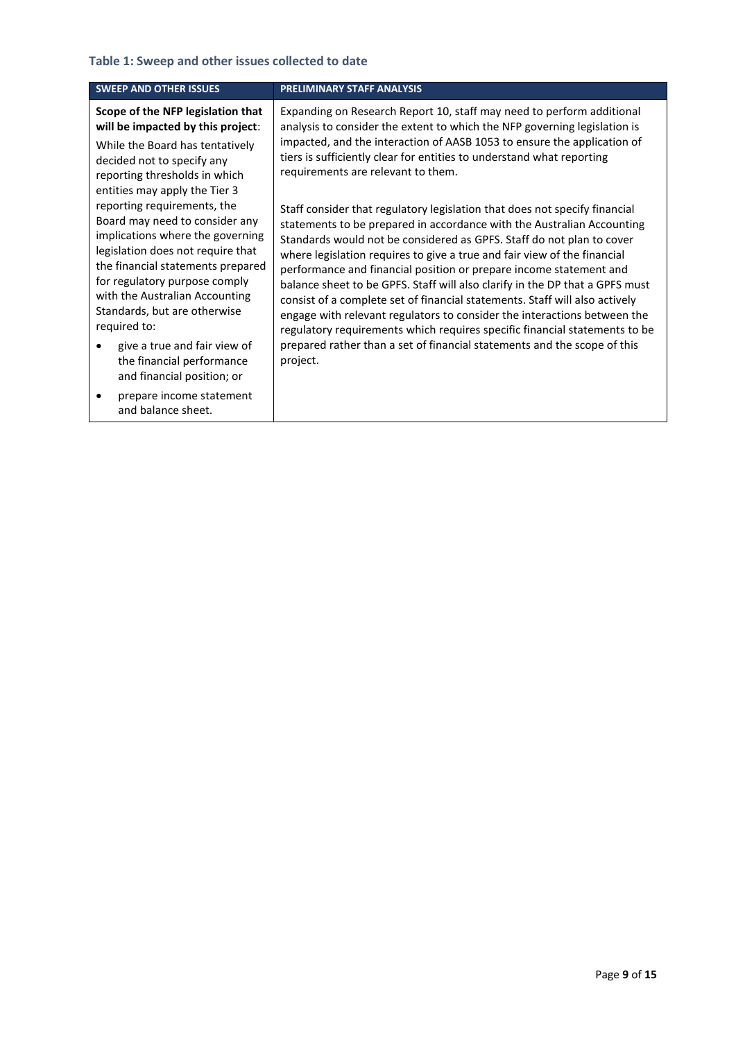# <span id="page-8-0"></span>**Table 1: Sweep and other issues collected to date**

| <b>SWEEP AND OTHER ISSUES</b>                                                                                                                                                                                                                                                                                                                                                                                                                                                                                                                                                                          | <b>PRELIMINARY STAFF ANALYSIS</b>                                                                                                                                                                                                                                                                                                                                                                                                                                                                                                                                                                                                                                                                                                                                                                                                                                                                                                                                                                                                                                                                                                                |
|--------------------------------------------------------------------------------------------------------------------------------------------------------------------------------------------------------------------------------------------------------------------------------------------------------------------------------------------------------------------------------------------------------------------------------------------------------------------------------------------------------------------------------------------------------------------------------------------------------|--------------------------------------------------------------------------------------------------------------------------------------------------------------------------------------------------------------------------------------------------------------------------------------------------------------------------------------------------------------------------------------------------------------------------------------------------------------------------------------------------------------------------------------------------------------------------------------------------------------------------------------------------------------------------------------------------------------------------------------------------------------------------------------------------------------------------------------------------------------------------------------------------------------------------------------------------------------------------------------------------------------------------------------------------------------------------------------------------------------------------------------------------|
| Scope of the NFP legislation that<br>will be impacted by this project:<br>While the Board has tentatively<br>decided not to specify any<br>reporting thresholds in which<br>entities may apply the Tier 3<br>reporting requirements, the<br>Board may need to consider any<br>implications where the governing<br>legislation does not require that<br>the financial statements prepared<br>for regulatory purpose comply<br>with the Australian Accounting<br>Standards, but are otherwise<br>required to:<br>give a true and fair view of<br>the financial performance<br>and financial position; or | Expanding on Research Report 10, staff may need to perform additional<br>analysis to consider the extent to which the NFP governing legislation is<br>impacted, and the interaction of AASB 1053 to ensure the application of<br>tiers is sufficiently clear for entities to understand what reporting<br>requirements are relevant to them.<br>Staff consider that regulatory legislation that does not specify financial<br>statements to be prepared in accordance with the Australian Accounting<br>Standards would not be considered as GPFS. Staff do not plan to cover<br>where legislation requires to give a true and fair view of the financial<br>performance and financial position or prepare income statement and<br>balance sheet to be GPFS. Staff will also clarify in the DP that a GPFS must<br>consist of a complete set of financial statements. Staff will also actively<br>engage with relevant regulators to consider the interactions between the<br>regulatory requirements which requires specific financial statements to be<br>prepared rather than a set of financial statements and the scope of this<br>project. |
| prepare income statement<br>and balance sheet.                                                                                                                                                                                                                                                                                                                                                                                                                                                                                                                                                         |                                                                                                                                                                                                                                                                                                                                                                                                                                                                                                                                                                                                                                                                                                                                                                                                                                                                                                                                                                                                                                                                                                                                                  |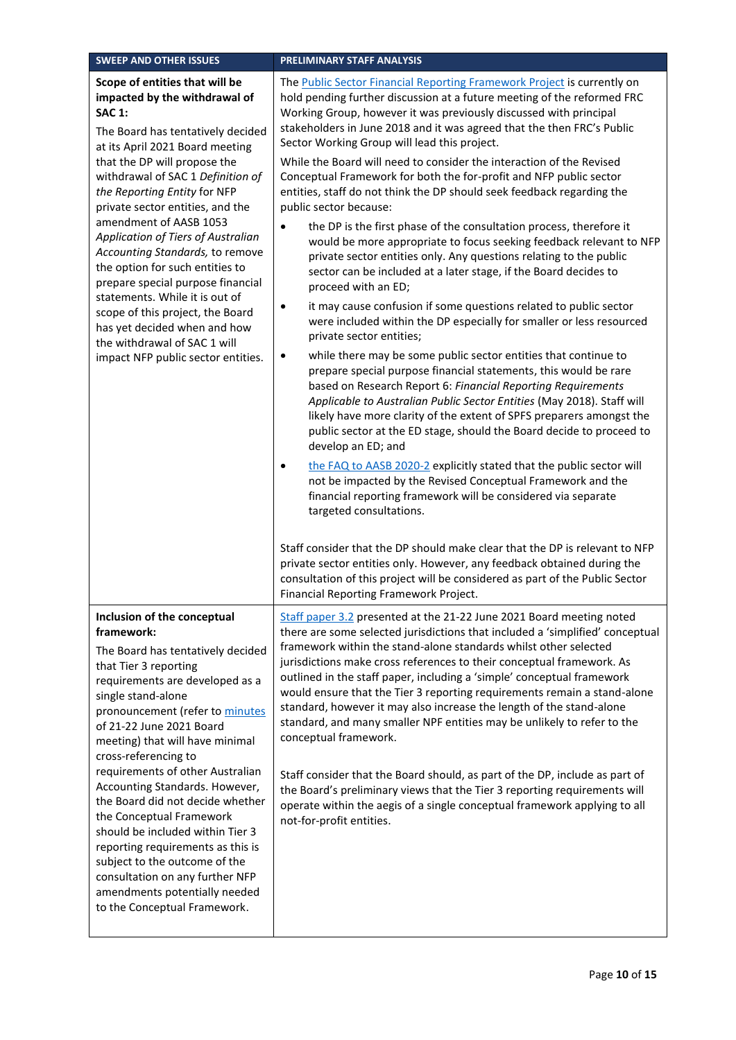| <b>SWEEP AND OTHER ISSUES</b>                                                                                                                                                                                                                                                                                                                                                                                                                                                                                                                                                                                                                            | <b>PRELIMINARY STAFF ANALYSIS</b>                                                                                                                                                                                                                                                                                                                                                                                                                                                                                                                                                                                                                                                                                                                                                                                                                                                                                                                                                                                                                                                                                                                                                                                                                                                                                                                                                                                                                                                                                                                                                                                                                                                                                                                                                                                                                                                                                                                                                                                                                                                                     |
|----------------------------------------------------------------------------------------------------------------------------------------------------------------------------------------------------------------------------------------------------------------------------------------------------------------------------------------------------------------------------------------------------------------------------------------------------------------------------------------------------------------------------------------------------------------------------------------------------------------------------------------------------------|-------------------------------------------------------------------------------------------------------------------------------------------------------------------------------------------------------------------------------------------------------------------------------------------------------------------------------------------------------------------------------------------------------------------------------------------------------------------------------------------------------------------------------------------------------------------------------------------------------------------------------------------------------------------------------------------------------------------------------------------------------------------------------------------------------------------------------------------------------------------------------------------------------------------------------------------------------------------------------------------------------------------------------------------------------------------------------------------------------------------------------------------------------------------------------------------------------------------------------------------------------------------------------------------------------------------------------------------------------------------------------------------------------------------------------------------------------------------------------------------------------------------------------------------------------------------------------------------------------------------------------------------------------------------------------------------------------------------------------------------------------------------------------------------------------------------------------------------------------------------------------------------------------------------------------------------------------------------------------------------------------------------------------------------------------------------------------------------------------|
| Scope of entities that will be<br>impacted by the withdrawal of<br><b>SAC 1:</b><br>The Board has tentatively decided<br>at its April 2021 Board meeting<br>that the DP will propose the<br>withdrawal of SAC 1 Definition of<br>the Reporting Entity for NFP<br>private sector entities, and the<br>amendment of AASB 1053<br>Application of Tiers of Australian<br>Accounting Standards, to remove<br>the option for such entities to<br>prepare special purpose financial<br>statements. While it is out of<br>scope of this project, the Board<br>has yet decided when and how<br>the withdrawal of SAC 1 will<br>impact NFP public sector entities. | The Public Sector Financial Reporting Framework Project is currently on<br>hold pending further discussion at a future meeting of the reformed FRC<br>Working Group, however it was previously discussed with principal<br>stakeholders in June 2018 and it was agreed that the then FRC's Public<br>Sector Working Group will lead this project.<br>While the Board will need to consider the interaction of the Revised<br>Conceptual Framework for both the for-profit and NFP public sector<br>entities, staff do not think the DP should seek feedback regarding the<br>public sector because:<br>the DP is the first phase of the consultation process, therefore it<br>٠<br>would be more appropriate to focus seeking feedback relevant to NFP<br>private sector entities only. Any questions relating to the public<br>sector can be included at a later stage, if the Board decides to<br>proceed with an ED;<br>it may cause confusion if some questions related to public sector<br>٠<br>were included within the DP especially for smaller or less resourced<br>private sector entities;<br>while there may be some public sector entities that continue to<br>$\bullet$<br>prepare special purpose financial statements, this would be rare<br>based on Research Report 6: Financial Reporting Requirements<br>Applicable to Australian Public Sector Entities (May 2018). Staff will<br>likely have more clarity of the extent of SPFS preparers amongst the<br>public sector at the ED stage, should the Board decide to proceed to<br>develop an ED; and<br>the FAQ to AASB 2020-2 explicitly stated that the public sector will<br>٠<br>not be impacted by the Revised Conceptual Framework and the<br>financial reporting framework will be considered via separate<br>targeted consultations.<br>Staff consider that the DP should make clear that the DP is relevant to NFP<br>private sector entities only. However, any feedback obtained during the<br>consultation of this project will be considered as part of the Public Sector<br>Financial Reporting Framework Project. |
| Inclusion of the conceptual<br>framework:<br>The Board has tentatively decided<br>that Tier 3 reporting<br>requirements are developed as a<br>single stand-alone<br>pronouncement (refer to minutes<br>of 21-22 June 2021 Board<br>meeting) that will have minimal<br>cross-referencing to<br>requirements of other Australian<br>Accounting Standards. However,<br>the Board did not decide whether<br>the Conceptual Framework<br>should be included within Tier 3<br>reporting requirements as this is<br>subject to the outcome of the<br>consultation on any further NFP<br>amendments potentially needed<br>to the Conceptual Framework.           | Staff paper 3.2 presented at the 21-22 June 2021 Board meeting noted<br>there are some selected jurisdictions that included a 'simplified' conceptual<br>framework within the stand-alone standards whilst other selected<br>jurisdictions make cross references to their conceptual framework. As<br>outlined in the staff paper, including a 'simple' conceptual framework<br>would ensure that the Tier 3 reporting requirements remain a stand-alone<br>standard, however it may also increase the length of the stand-alone<br>standard, and many smaller NPF entities may be unlikely to refer to the<br>conceptual framework.<br>Staff consider that the Board should, as part of the DP, include as part of<br>the Board's preliminary views that the Tier 3 reporting requirements will<br>operate within the aegis of a single conceptual framework applying to all<br>not-for-profit entities.                                                                                                                                                                                                                                                                                                                                                                                                                                                                                                                                                                                                                                                                                                                                                                                                                                                                                                                                                                                                                                                                                                                                                                                             |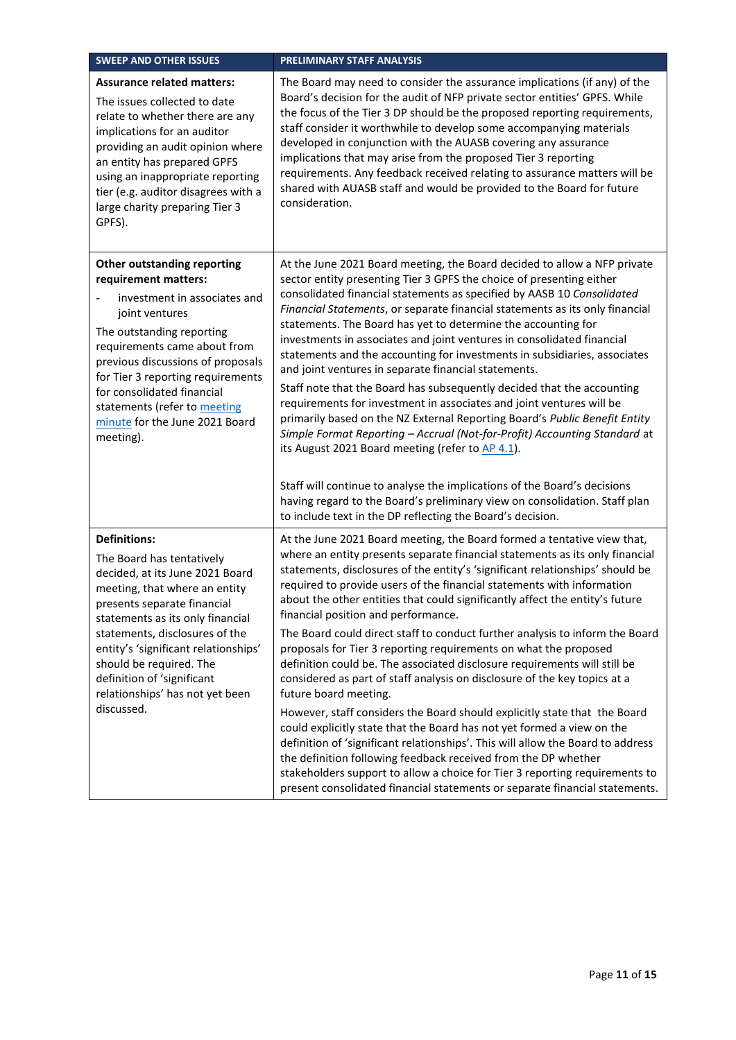| <b>SWEEP AND OTHER ISSUES</b>                                                                                                                                                                                                                                                                                                                                    | <b>PRELIMINARY STAFF ANALYSIS</b>                                                                                                                                                                                                                                                                                                                                                                                                                                                                                                                                                                                                                                                                                                                                                                                                                                                                                                                                                                                                       |
|------------------------------------------------------------------------------------------------------------------------------------------------------------------------------------------------------------------------------------------------------------------------------------------------------------------------------------------------------------------|-----------------------------------------------------------------------------------------------------------------------------------------------------------------------------------------------------------------------------------------------------------------------------------------------------------------------------------------------------------------------------------------------------------------------------------------------------------------------------------------------------------------------------------------------------------------------------------------------------------------------------------------------------------------------------------------------------------------------------------------------------------------------------------------------------------------------------------------------------------------------------------------------------------------------------------------------------------------------------------------------------------------------------------------|
| <b>Assurance related matters:</b><br>The issues collected to date<br>relate to whether there are any<br>implications for an auditor<br>providing an audit opinion where<br>an entity has prepared GPFS<br>using an inappropriate reporting<br>tier (e.g. auditor disagrees with a<br>large charity preparing Tier 3<br>GPFS).                                    | The Board may need to consider the assurance implications (if any) of the<br>Board's decision for the audit of NFP private sector entities' GPFS. While<br>the focus of the Tier 3 DP should be the proposed reporting requirements,<br>staff consider it worthwhile to develop some accompanying materials<br>developed in conjunction with the AUASB covering any assurance<br>implications that may arise from the proposed Tier 3 reporting<br>requirements. Any feedback received relating to assurance matters will be<br>shared with AUASB staff and would be provided to the Board for future<br>consideration.                                                                                                                                                                                                                                                                                                                                                                                                                 |
| <b>Other outstanding reporting</b><br>requirement matters:<br>investment in associates and<br>joint ventures<br>The outstanding reporting<br>requirements came about from<br>previous discussions of proposals<br>for Tier 3 reporting requirements<br>for consolidated financial<br>statements (refer to meeting<br>minute for the June 2021 Board<br>meeting). | At the June 2021 Board meeting, the Board decided to allow a NFP private<br>sector entity presenting Tier 3 GPFS the choice of presenting either<br>consolidated financial statements as specified by AASB 10 Consolidated<br>Financial Statements, or separate financial statements as its only financial<br>statements. The Board has yet to determine the accounting for<br>investments in associates and joint ventures in consolidated financial<br>statements and the accounting for investments in subsidiaries, associates<br>and joint ventures in separate financial statements.<br>Staff note that the Board has subsequently decided that the accounting<br>requirements for investment in associates and joint ventures will be<br>primarily based on the NZ External Reporting Board's Public Benefit Entity<br>Simple Format Reporting - Accrual (Not-for-Profit) Accounting Standard at<br>its August 2021 Board meeting (refer to AP 4.1).<br>Staff will continue to analyse the implications of the Board's decisions |
|                                                                                                                                                                                                                                                                                                                                                                  | having regard to the Board's preliminary view on consolidation. Staff plan<br>to include text in the DP reflecting the Board's decision.                                                                                                                                                                                                                                                                                                                                                                                                                                                                                                                                                                                                                                                                                                                                                                                                                                                                                                |
| <b>Definitions:</b><br>The Board has tentatively<br>decided, at its June 2021 Board<br>meeting, that where an entity<br>presents separate financial<br>statements as its only financial<br>statements, disclosures of the                                                                                                                                        | At the June 2021 Board meeting, the Board formed a tentative view that,<br>where an entity presents separate financial statements as its only financial<br>statements, disclosures of the entity's 'significant relationships' should be<br>required to provide users of the financial statements with information<br>about the other entities that could significantly affect the entity's future<br>financial position and performance.<br>The Board could direct staff to conduct further analysis to inform the Board                                                                                                                                                                                                                                                                                                                                                                                                                                                                                                               |
| entity's 'significant relationships'<br>should be required. The<br>definition of 'significant<br>relationships' has not yet been                                                                                                                                                                                                                                 | proposals for Tier 3 reporting requirements on what the proposed<br>definition could be. The associated disclosure requirements will still be<br>considered as part of staff analysis on disclosure of the key topics at a<br>future board meeting.                                                                                                                                                                                                                                                                                                                                                                                                                                                                                                                                                                                                                                                                                                                                                                                     |
| discussed.                                                                                                                                                                                                                                                                                                                                                       | However, staff considers the Board should explicitly state that the Board<br>could explicitly state that the Board has not yet formed a view on the<br>definition of 'significant relationships'. This will allow the Board to address<br>the definition following feedback received from the DP whether<br>stakeholders support to allow a choice for Tier 3 reporting requirements to<br>present consolidated financial statements or separate financial statements.                                                                                                                                                                                                                                                                                                                                                                                                                                                                                                                                                                  |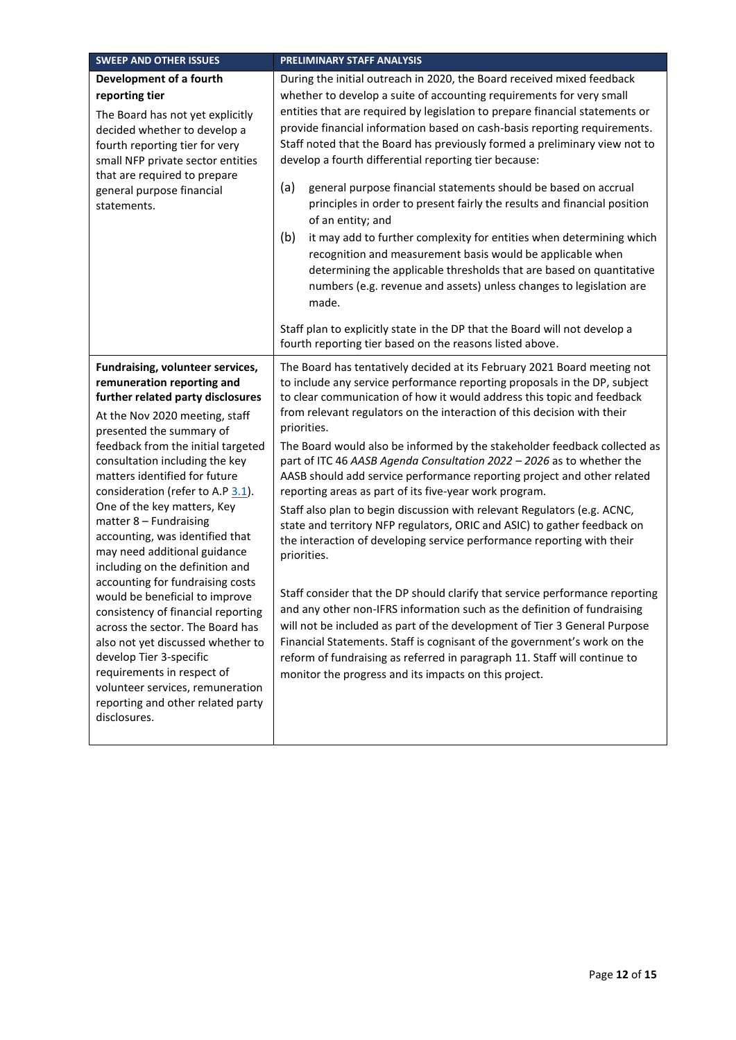| <b>SWEEP AND OTHER ISSUES</b>                                                                                                                                                                                                                                                                                                                                                                                                                                                                                                                                                                                                                                                                                                                                                                                         | PRELIMINARY STAFF ANALYSIS                                                                                                                                                                                                                                                                                                                                                                                                                                                                                                                                                                                                                                                                                                                                                                                                                                                                                                                                                                                                                                                                                                                                                                                                                                                                                                                                                                   |  |
|-----------------------------------------------------------------------------------------------------------------------------------------------------------------------------------------------------------------------------------------------------------------------------------------------------------------------------------------------------------------------------------------------------------------------------------------------------------------------------------------------------------------------------------------------------------------------------------------------------------------------------------------------------------------------------------------------------------------------------------------------------------------------------------------------------------------------|----------------------------------------------------------------------------------------------------------------------------------------------------------------------------------------------------------------------------------------------------------------------------------------------------------------------------------------------------------------------------------------------------------------------------------------------------------------------------------------------------------------------------------------------------------------------------------------------------------------------------------------------------------------------------------------------------------------------------------------------------------------------------------------------------------------------------------------------------------------------------------------------------------------------------------------------------------------------------------------------------------------------------------------------------------------------------------------------------------------------------------------------------------------------------------------------------------------------------------------------------------------------------------------------------------------------------------------------------------------------------------------------|--|
| Development of a fourth<br>reporting tier<br>The Board has not yet explicitly<br>decided whether to develop a<br>fourth reporting tier for very<br>small NFP private sector entities<br>that are required to prepare<br>general purpose financial<br>statements.                                                                                                                                                                                                                                                                                                                                                                                                                                                                                                                                                      | During the initial outreach in 2020, the Board received mixed feedback<br>whether to develop a suite of accounting requirements for very small<br>entities that are required by legislation to prepare financial statements or<br>provide financial information based on cash-basis reporting requirements.<br>Staff noted that the Board has previously formed a preliminary view not to<br>develop a fourth differential reporting tier because:<br>(a)<br>general purpose financial statements should be based on accrual<br>principles in order to present fairly the results and financial position<br>of an entity; and<br>(b)<br>it may add to further complexity for entities when determining which<br>recognition and measurement basis would be applicable when<br>determining the applicable thresholds that are based on quantitative<br>numbers (e.g. revenue and assets) unless changes to legislation are<br>made.<br>Staff plan to explicitly state in the DP that the Board will not develop a                                                                                                                                                                                                                                                                                                                                                                             |  |
| Fundraising, volunteer services,<br>remuneration reporting and<br>further related party disclosures<br>At the Nov 2020 meeting, staff<br>presented the summary of<br>feedback from the initial targeted<br>consultation including the key<br>matters identified for future<br>consideration (refer to A.P 3.1).<br>One of the key matters, Key<br>matter 8 - Fundraising<br>accounting, was identified that<br>may need additional guidance<br>including on the definition and<br>accounting for fundraising costs<br>would be beneficial to improve<br>consistency of financial reporting<br>across the sector. The Board has<br>also not yet discussed whether to<br>develop Tier 3-specific<br>requirements in respect of<br>volunteer services, remuneration<br>reporting and other related party<br>disclosures. | fourth reporting tier based on the reasons listed above.<br>The Board has tentatively decided at its February 2021 Board meeting not<br>to include any service performance reporting proposals in the DP, subject<br>to clear communication of how it would address this topic and feedback<br>from relevant regulators on the interaction of this decision with their<br>priorities.<br>The Board would also be informed by the stakeholder feedback collected as<br>part of ITC 46 AASB Agenda Consultation 2022 - 2026 as to whether the<br>AASB should add service performance reporting project and other related<br>reporting areas as part of its five-year work program.<br>Staff also plan to begin discussion with relevant Regulators (e.g. ACNC,<br>state and territory NFP regulators, ORIC and ASIC) to gather feedback on<br>the interaction of developing service performance reporting with their<br>priorities.<br>Staff consider that the DP should clarify that service performance reporting<br>and any other non-IFRS information such as the definition of fundraising<br>will not be included as part of the development of Tier 3 General Purpose<br>Financial Statements. Staff is cognisant of the government's work on the<br>reform of fundraising as referred in paragraph 11. Staff will continue to<br>monitor the progress and its impacts on this project. |  |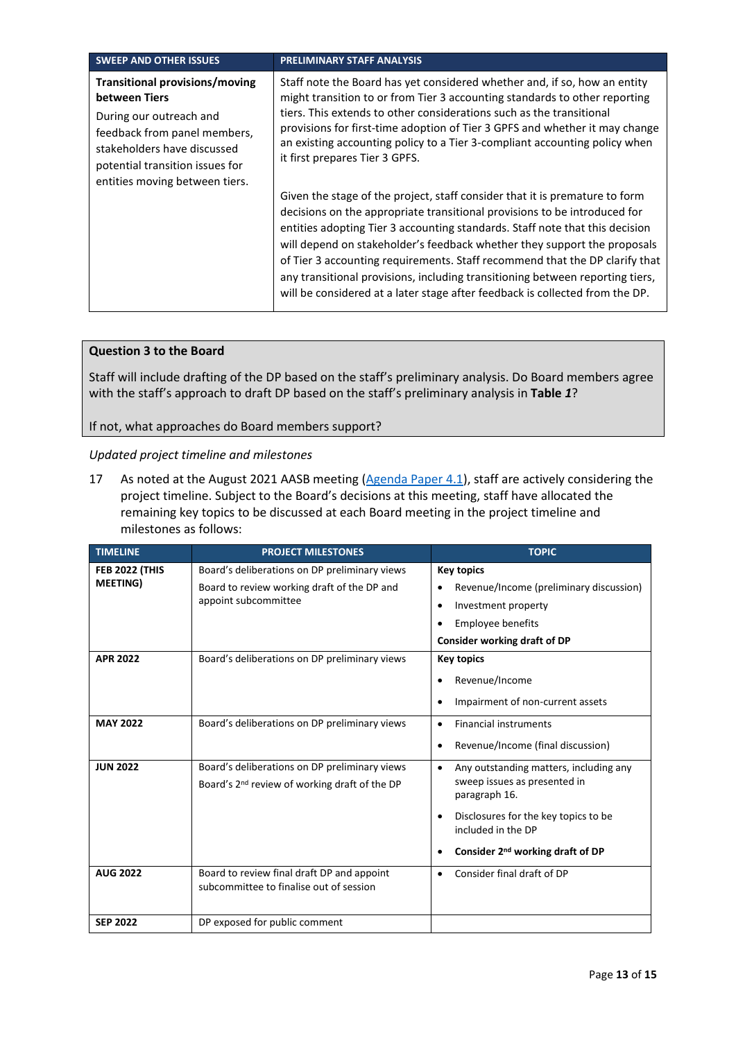| <b>SWEEP AND OTHER ISSUES</b>                                                                                                                                                                                         | <b>PRELIMINARY STAFF ANALYSIS</b>                                                                                                                                                                                                                                                                                                                                                                                                                                                                                                                                    |
|-----------------------------------------------------------------------------------------------------------------------------------------------------------------------------------------------------------------------|----------------------------------------------------------------------------------------------------------------------------------------------------------------------------------------------------------------------------------------------------------------------------------------------------------------------------------------------------------------------------------------------------------------------------------------------------------------------------------------------------------------------------------------------------------------------|
| <b>Transitional provisions/moving</b><br>between Tiers<br>During our outreach and<br>feedback from panel members,<br>stakeholders have discussed<br>potential transition issues for<br>entities moving between tiers. | Staff note the Board has yet considered whether and, if so, how an entity<br>might transition to or from Tier 3 accounting standards to other reporting<br>tiers. This extends to other considerations such as the transitional<br>provisions for first-time adoption of Tier 3 GPFS and whether it may change<br>an existing accounting policy to a Tier 3-compliant accounting policy when<br>it first prepares Tier 3 GPFS.                                                                                                                                       |
|                                                                                                                                                                                                                       | Given the stage of the project, staff consider that it is premature to form<br>decisions on the appropriate transitional provisions to be introduced for<br>entities adopting Tier 3 accounting standards. Staff note that this decision<br>will depend on stakeholder's feedback whether they support the proposals<br>of Tier 3 accounting requirements. Staff recommend that the DP clarify that<br>any transitional provisions, including transitioning between reporting tiers,<br>will be considered at a later stage after feedback is collected from the DP. |

# **Question 3 to the Board**

Staff will include drafting of the DP based on the staff's preliminary analysis. Do Board members agree with the staff's approach to draft DP based on the staff's preliminary analysis in **[Table](#page-8-0)** *1*?

If not, what approaches do Board members support?

*Updated project timeline and milestones*

<span id="page-12-0"></span>17 As noted at the August 2021 AASB meeting [\(Agenda Paper 4.1\)](https://aasb.gov.au/media/hd0kig2j/4-1_sp_covermemo_m182_pp.pdf), staff are actively considering the project timeline. Subject to the Board's decisions at this meeting, staff have allocated the remaining key topics to be discussed at each Board meeting in the project timeline and milestones as follows:

| <b>TIMELINE</b>                          | <b>PROJECT MILESTONES</b>                                                                                            | <b>TOPIC</b>                                                                                                                                                                                                                 |
|------------------------------------------|----------------------------------------------------------------------------------------------------------------------|------------------------------------------------------------------------------------------------------------------------------------------------------------------------------------------------------------------------------|
| <b>FEB 2022 (THIS</b><br><b>MEETING)</b> | Board's deliberations on DP preliminary views<br>Board to review working draft of the DP and<br>appoint subcommittee | <b>Key topics</b><br>Revenue/Income (preliminary discussion)<br>$\bullet$<br>Investment property<br>٠<br><b>Employee benefits</b><br>$\bullet$<br><b>Consider working draft of DP</b>                                        |
| <b>APR 2022</b>                          | Board's deliberations on DP preliminary views                                                                        | <b>Key topics</b><br>Revenue/Income<br>$\bullet$<br>Impairment of non-current assets<br>¢                                                                                                                                    |
| <b>MAY 2022</b>                          | Board's deliberations on DP preliminary views                                                                        | <b>Financial instruments</b><br>$\bullet$<br>Revenue/Income (final discussion)<br>$\bullet$                                                                                                                                  |
| <b>JUN 2022</b>                          | Board's deliberations on DP preliminary views<br>Board's 2 <sup>nd</sup> review of working draft of the DP           | Any outstanding matters, including any<br>$\bullet$<br>sweep issues as presented in<br>paragraph 16.<br>Disclosures for the key topics to be<br>٠<br>included in the DP<br>Consider 2 <sup>nd</sup> working draft of DP<br>¢ |
| <b>AUG 2022</b>                          | Board to review final draft DP and appoint<br>subcommittee to finalise out of session                                | Consider final draft of DP<br>$\bullet$                                                                                                                                                                                      |
| <b>SEP 2022</b>                          | DP exposed for public comment                                                                                        |                                                                                                                                                                                                                              |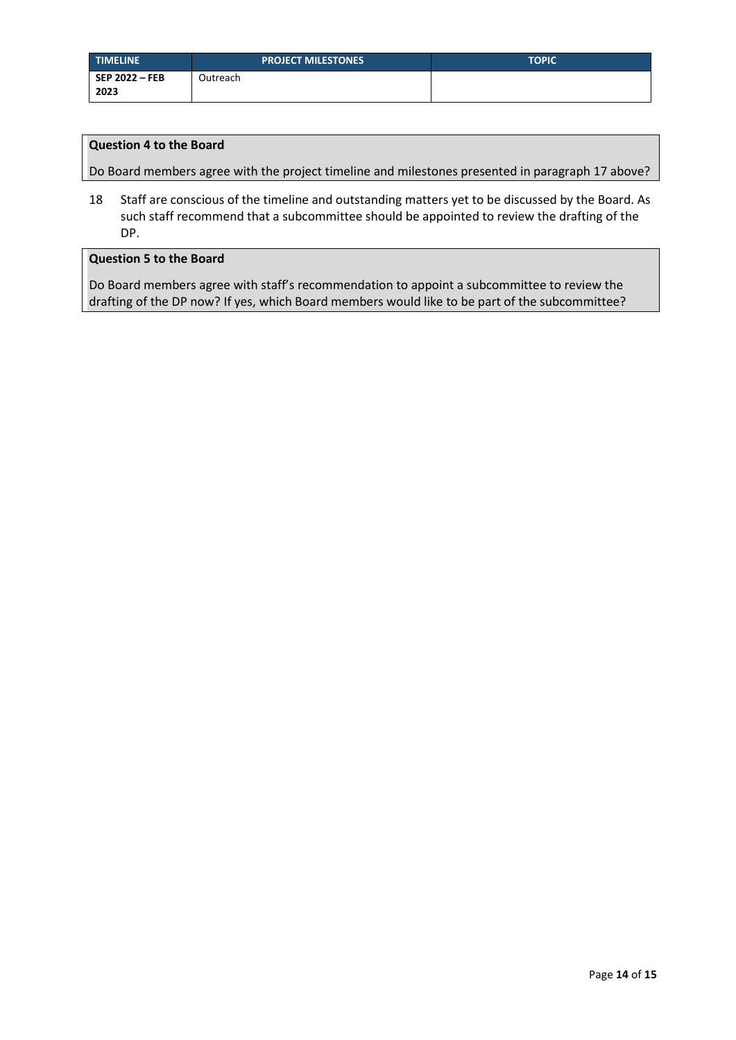| <b>TIMELINE</b>        | <b>PROJECT MILESTONES</b> | <b>TOPIC</b> |
|------------------------|---------------------------|--------------|
| SEP 2022 – FEB<br>2023 | Outreach                  |              |

#### **Question 4 to the Board**

Do Board members agree with the project timeline and milestones presented in paragraph [17](#page-12-0) above?

18 Staff are conscious of the timeline and outstanding matters yet to be discussed by the Board. As such staff recommend that a subcommittee should be appointed to review the drafting of the DP.

#### **Question 5 to the Board**

Do Board members agree with staff's recommendation to appoint a subcommittee to review the drafting of the DP now? If yes, which Board members would like to be part of the subcommittee?